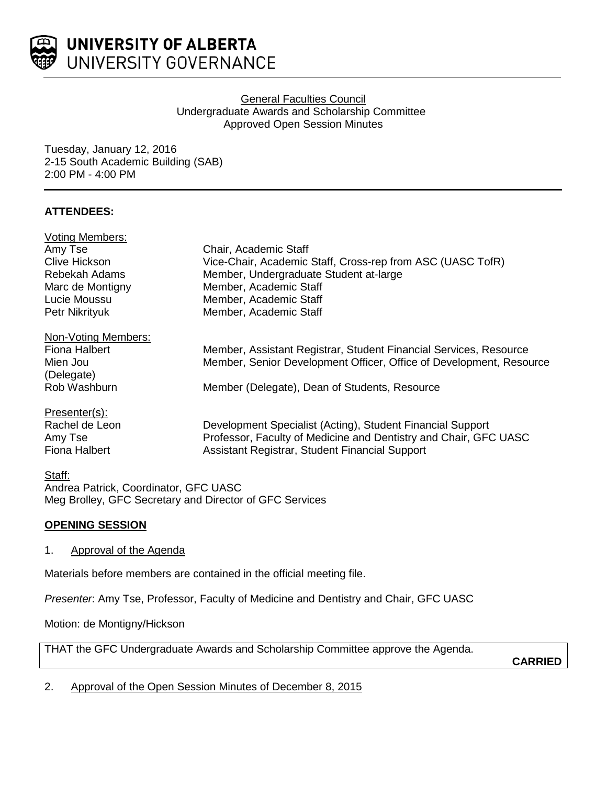

# General Faculties Council Undergraduate Awards and Scholarship Committee Approved Open Session Minutes

Tuesday, January 12, 2016 2-15 South Academic Building (SAB) 2:00 PM - 4:00 PM

# **ATTENDEES:**

| <b>Voting Members:</b> |                                                                     |
|------------------------|---------------------------------------------------------------------|
| Amy Tse                | Chair, Academic Staff                                               |
| Clive Hickson          | Vice-Chair, Academic Staff, Cross-rep from ASC (UASC TofR)          |
| Rebekah Adams          | Member, Undergraduate Student at-large                              |
| Marc de Montigny       | Member, Academic Staff                                              |
| Lucie Moussu           | Member, Academic Staff                                              |
| Petr Nikrityuk         | Member, Academic Staff                                              |
| Non-Voting Members:    |                                                                     |
| Fiona Halbert          | Member, Assistant Registrar, Student Financial Services, Resource   |
| Mien Jou               | Member, Senior Development Officer, Office of Development, Resource |
| (Delegate)             |                                                                     |
| Rob Washburn           | Member (Delegate), Dean of Students, Resource                       |
| Presenter(s):          |                                                                     |
| Rachel de Leon         | Development Specialist (Acting), Student Financial Support          |
| Amy Tse                | Professor, Faculty of Medicine and Dentistry and Chair, GFC UASC    |
| <b>Fiona Halbert</b>   | Assistant Registrar, Student Financial Support                      |
| Staff:                 |                                                                     |

Andrea Patrick, Coordinator, GFC UASC Meg Brolley, GFC Secretary and Director of GFC Services

# **OPENING SESSION**

1. Approval of the Agenda

Materials before members are contained in the official meeting file.

*Presenter*: Amy Tse, Professor, Faculty of Medicine and Dentistry and Chair, GFC UASC

Motion: de Montigny/Hickson

THAT the GFC Undergraduate Awards and Scholarship Committee approve the Agenda.

**CARRIED**

2. Approval of the Open Session Minutes of December 8, 2015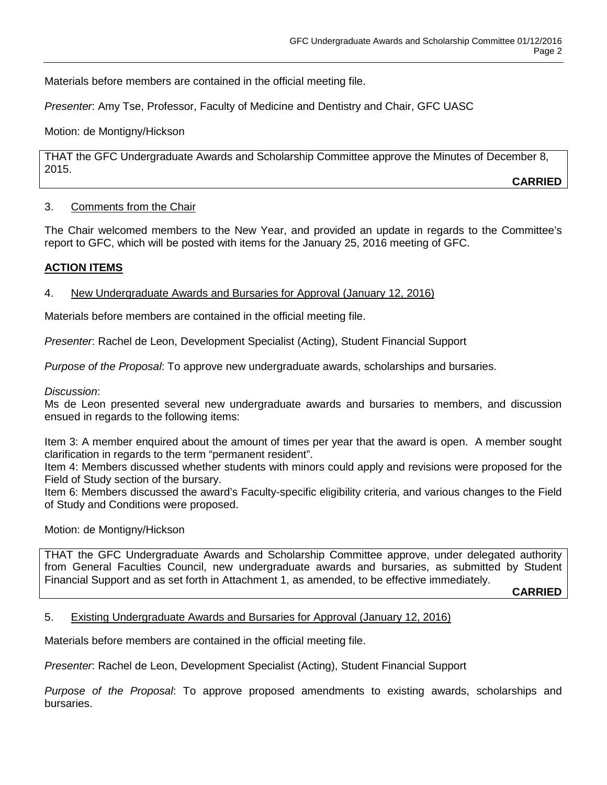Materials before members are contained in the official meeting file.

*Presenter*: Amy Tse, Professor, Faculty of Medicine and Dentistry and Chair, GFC UASC

Motion: de Montigny/Hickson

THAT the GFC Undergraduate Awards and Scholarship Committee approve the Minutes of December 8, 2015.

**CARRIED**

### 3. Comments from the Chair

The Chair welcomed members to the New Year, and provided an update in regards to the Committee's report to GFC, which will be posted with items for the January 25, 2016 meeting of GFC.

### **ACTION ITEMS**

### 4. New Undergraduate Awards and Bursaries for Approval (January 12, 2016)

Materials before members are contained in the official meeting file.

*Presenter*: Rachel de Leon, Development Specialist (Acting), Student Financial Support

*Purpose of the Proposal*: To approve new undergraduate awards, scholarships and bursaries.

*Discussion*:

Ms de Leon presented several new undergraduate awards and bursaries to members, and discussion ensued in regards to the following items:

Item 3: A member enquired about the amount of times per year that the award is open. A member sought clarification in regards to the term "permanent resident".

Item 4: Members discussed whether students with minors could apply and revisions were proposed for the Field of Study section of the bursary.

Item 6: Members discussed the award's Faculty-specific eligibility criteria, and various changes to the Field of Study and Conditions were proposed.

### Motion: de Montigny/Hickson

THAT the GFC Undergraduate Awards and Scholarship Committee approve, under delegated authority from General Faculties Council, new undergraduate awards and bursaries, as submitted by Student Financial Support and as set forth in Attachment 1, as amended, to be effective immediately.

**CARRIED**

#### 5. Existing Undergraduate Awards and Bursaries for Approval (January 12, 2016)

Materials before members are contained in the official meeting file.

*Presenter*: Rachel de Leon, Development Specialist (Acting), Student Financial Support

*Purpose of the Proposal*: To approve proposed amendments to existing awards, scholarships and bursaries.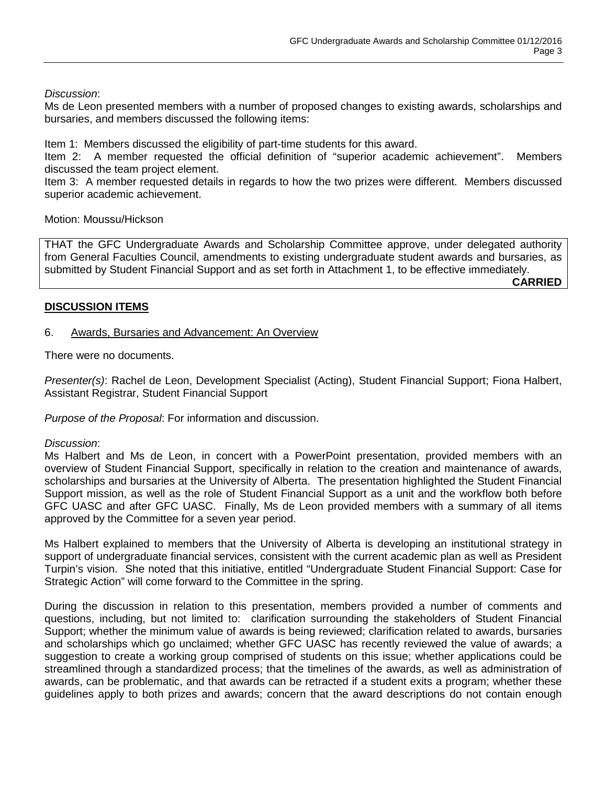### *Discussion*:

Ms de Leon presented members with a number of proposed changes to existing awards, scholarships and bursaries, and members discussed the following items:

Item 1: Members discussed the eligibility of part-time students for this award.

Item 2: A member requested the official definition of "superior academic achievement". Members discussed the team project element.

Item 3: A member requested details in regards to how the two prizes were different. Members discussed superior academic achievement.

Motion: Moussu/Hickson

THAT the GFC Undergraduate Awards and Scholarship Committee approve, under delegated authority from General Faculties Council, amendments to existing undergraduate student awards and bursaries, as submitted by Student Financial Support and as set forth in Attachment 1, to be effective immediately.

**CARRIED**

### **DISCUSSION ITEMS**

### 6. Awards, Bursaries and Advancement: An Overview

There were no documents.

*Presenter(s)*: Rachel de Leon, Development Specialist (Acting), Student Financial Support; Fiona Halbert, Assistant Registrar, Student Financial Support

*Purpose of the Proposal*: For information and discussion.

#### *Discussion*:

Ms Halbert and Ms de Leon, in concert with a PowerPoint presentation, provided members with an overview of Student Financial Support, specifically in relation to the creation and maintenance of awards, scholarships and bursaries at the University of Alberta. The presentation highlighted the Student Financial Support mission, as well as the role of Student Financial Support as a unit and the workflow both before GFC UASC and after GFC UASC. Finally, Ms de Leon provided members with a summary of all items approved by the Committee for a seven year period.

Ms Halbert explained to members that the University of Alberta is developing an institutional strategy in support of undergraduate financial services, consistent with the current academic plan as well as President Turpin's vision. She noted that this initiative, entitled "Undergraduate Student Financial Support: Case for Strategic Action" will come forward to the Committee in the spring.

During the discussion in relation to this presentation, members provided a number of comments and questions, including, but not limited to: clarification surrounding the stakeholders of Student Financial Support; whether the minimum value of awards is being reviewed; clarification related to awards, bursaries and scholarships which go unclaimed; whether GFC UASC has recently reviewed the value of awards; a suggestion to create a working group comprised of students on this issue; whether applications could be streamlined through a standardized process; that the timelines of the awards, as well as administration of awards, can be problematic, and that awards can be retracted if a student exits a program; whether these guidelines apply to both prizes and awards; concern that the award descriptions do not contain enough